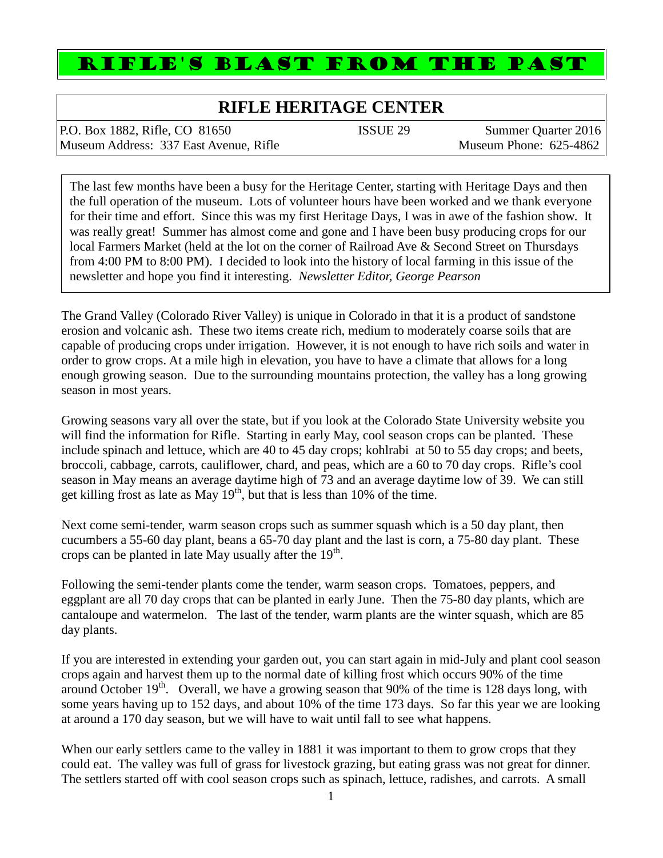# RIFLE'S BLAST FROM THE PAST

## **RIFLE HERITAGE CENTER**

P.O. Box 1882, Rifle, CO 81650 **ISSUE 29** Summer Quarter 2016 Museum Address: 337 East Avenue, Rifle Museum Phone: 625-4862

The last few months have been a busy for the Heritage Center, starting with Heritage Days and then the full operation of the museum. Lots of volunteer hours have been worked and we thank everyone for their time and effort. Since this was my first Heritage Days, I was in awe of the fashion show. It was really great! Summer has almost come and gone and I have been busy producing crops for our local Farmers Market (held at the lot on the corner of Railroad Ave & Second Street on Thursdays from 4:00 PM to 8:00 PM). I decided to look into the history of local farming in this issue of the newsletter and hope you find it interesting. *Newsletter Editor, George Pearson*

The Grand Valley (Colorado River Valley) is unique in Colorado in that it is a product of sandstone erosion and volcanic ash. These two items create rich, medium to moderately coarse soils that are capable of producing crops under irrigation. However, it is not enough to have rich soils and water in order to grow crops. At a mile high in elevation, you have to have a climate that allows for a long enough growing season. Due to the surrounding mountains protection, the valley has a long growing season in most years.

Growing seasons vary all over the state, but if you look at the Colorado State University website you will find the information for Rifle. Starting in early May, cool season crops can be planted. These include spinach and lettuce, which are 40 to 45 day crops; kohlrabi at 50 to 55 day crops; and beets, broccoli, cabbage, carrots, cauliflower, chard, and peas, which are a 60 to 70 day crops. Rifle's cool season in May means an average daytime high of 73 and an average daytime low of 39. We can still get killing frost as late as May  $19<sup>th</sup>$ , but that is less than 10% of the time.

Next come semi-tender, warm season crops such as summer squash which is a 50 day plant, then cucumbers a 55-60 day plant, beans a 65-70 day plant and the last is corn, a 75-80 day plant. These crops can be planted in late May usually after the  $19<sup>th</sup>$ .

Following the semi-tender plants come the tender, warm season crops. Tomatoes, peppers, and eggplant are all 70 day crops that can be planted in early June. Then the 75-80 day plants, which are cantaloupe and watermelon. The last of the tender, warm plants are the winter squash, which are 85 day plants.

If you are interested in extending your garden out, you can start again in mid-July and plant cool season crops again and harvest them up to the normal date of killing frost which occurs 90% of the time around October  $19<sup>th</sup>$ . Overall, we have a growing season that 90% of the time is 128 days long, with some years having up to 152 days, and about 10% of the time 173 days. So far this year we are looking at around a 170 day season, but we will have to wait until fall to see what happens.

When our early settlers came to the valley in 1881 it was important to them to grow crops that they could eat. The valley was full of grass for livestock grazing, but eating grass was not great for dinner. The settlers started off with cool season crops such as spinach, lettuce, radishes, and carrots. A small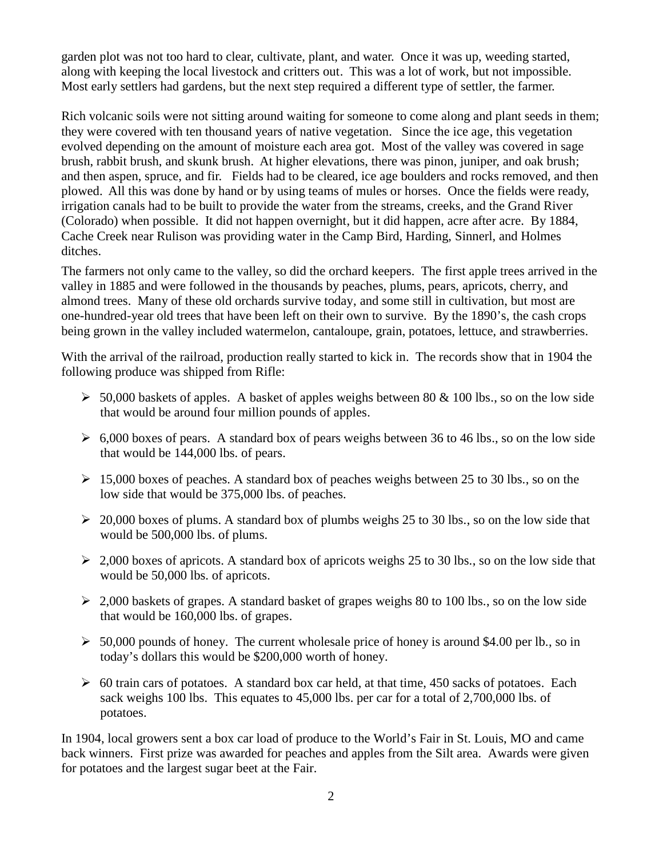garden plot was not too hard to clear, cultivate, plant, and water. Once it was up, weeding started, along with keeping the local livestock and critters out. This was a lot of work, but not impossible. Most early settlers had gardens, but the next step required a different type of settler, the farmer.

Rich volcanic soils were not sitting around waiting for someone to come along and plant seeds in them; they were covered with ten thousand years of native vegetation. Since the ice age, this vegetation evolved depending on the amount of moisture each area got. Most of the valley was covered in sage brush, rabbit brush, and skunk brush. At higher elevations, there was pinon, juniper, and oak brush; and then aspen, spruce, and fir. Fields had to be cleared, ice age boulders and rocks removed, and then plowed. All this was done by hand or by using teams of mules or horses. Once the fields were ready, irrigation canals had to be built to provide the water from the streams, creeks, and the Grand River (Colorado) when possible. It did not happen overnight, but it did happen, acre after acre. By 1884, Cache Creek near Rulison was providing water in the Camp Bird, Harding, Sinnerl, and Holmes ditches.

The farmers not only came to the valley, so did the orchard keepers. The first apple trees arrived in the valley in 1885 and were followed in the thousands by peaches, plums, pears, apricots, cherry, and almond trees. Many of these old orchards survive today, and some still in cultivation, but most are one-hundred-year old trees that have been left on their own to survive. By the 1890's, the cash crops being grown in the valley included watermelon, cantaloupe, grain, potatoes, lettuce, and strawberries.

With the arrival of the railroad, production really started to kick in. The records show that in 1904 the following produce was shipped from Rifle:

- $>$  50,000 baskets of apples. A basket of apples weighs between 80 & 100 lbs., so on the low side that would be around four million pounds of apples.
- $\geq 6,000$  boxes of pears. A standard box of pears weighs between 36 to 46 lbs., so on the low side that would be 144,000 lbs. of pears.
- $\geq 15,000$  boxes of peaches. A standard box of peaches weighs between 25 to 30 lbs., so on the low side that would be 375,000 lbs. of peaches.
- $\geq 20,000$  boxes of plums. A standard box of plumbs weighs 25 to 30 lbs., so on the low side that would be 500,000 lbs. of plums.
- $\geq$  2,000 boxes of apricots. A standard box of apricots weighs 25 to 30 lbs., so on the low side that would be 50,000 lbs. of apricots.
- $\geq 2,000$  baskets of grapes. A standard basket of grapes weighs 80 to 100 lbs., so on the low side that would be 160,000 lbs. of grapes.
- $\geq 50,000$  pounds of honey. The current wholesale price of honey is around \$4.00 per lb., so in today's dollars this would be \$200,000 worth of honey.
- $\geq 60$  train cars of potatoes. A standard box car held, at that time, 450 sacks of potatoes. Each sack weighs 100 lbs. This equates to 45,000 lbs. per car for a total of 2,700,000 lbs. of potatoes.

In 1904, local growers sent a box car load of produce to the World's Fair in St. Louis, MO and came back winners. First prize was awarded for peaches and apples from the Silt area. Awards were given for potatoes and the largest sugar beet at the Fair.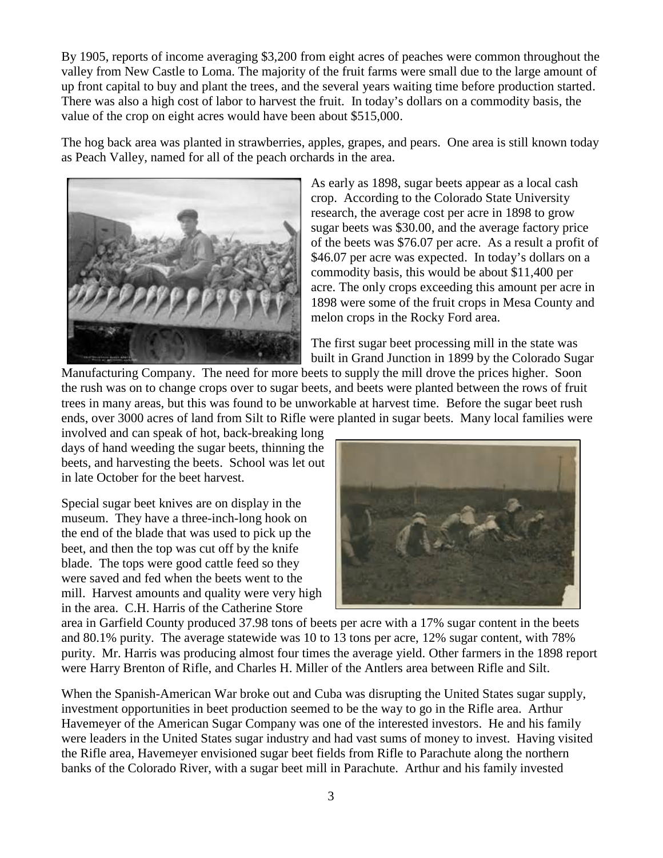By 1905, reports of income averaging \$3,200 from eight acres of peaches were common throughout the valley from New Castle to Loma. The majority of the fruit farms were small due to the large amount of up front capital to buy and plant the trees, and the several years waiting time before production started. There was also a high cost of labor to harvest the fruit. In today's dollars on a commodity basis, the value of the crop on eight acres would have been about \$515,000.

The hog back area was planted in strawberries, apples, grapes, and pears. One area is still known today as Peach Valley, named for all of the peach orchards in the area.



As early as 1898, sugar beets appear as a local cash crop. According to the Colorado State University research, the average cost per acre in 1898 to grow sugar beets was \$30.00, and the average factory price of the beets was \$76.07 per acre. As a result a profit of \$46.07 per acre was expected. In today's dollars on a commodity basis, this would be about \$11,400 per acre. The only crops exceeding this amount per acre in 1898 were some of the fruit crops in Mesa County and melon crops in the Rocky Ford area.

The first sugar beet processing mill in the state was built in Grand Junction in 1899 by the Colorado Sugar

Manufacturing Company. The need for more beets to supply the mill drove the prices higher. Soon the rush was on to change crops over to sugar beets, and beets were planted between the rows of fruit trees in many areas, but this was found to be unworkable at harvest time. Before the sugar beet rush ends, over 3000 acres of land from Silt to Rifle were planted in sugar beets. Many local families were

involved and can speak of hot, back-breaking long days of hand weeding the sugar beets, thinning the beets, and harvesting the beets. School was let out in late October for the beet harvest.

Special sugar beet knives are on display in the museum. They have a three-inch-long hook on the end of the blade that was used to pick up the beet, and then the top was cut off by the knife blade. The tops were good cattle feed so they were saved and fed when the beets went to the mill. Harvest amounts and quality were very high in the area. C.H. Harris of the Catherine Store



area in Garfield County produced 37.98 tons of beets per acre with a 17% sugar content in the beets and 80.1% purity. The average statewide was 10 to 13 tons per acre, 12% sugar content, with 78% purity. Mr. Harris was producing almost four times the average yield. Other farmers in the 1898 report were Harry Brenton of Rifle, and Charles H. Miller of the Antlers area between Rifle and Silt.

When the Spanish-American War broke out and Cuba was disrupting the United States sugar supply, investment opportunities in beet production seemed to be the way to go in the Rifle area. Arthur Havemeyer of the American Sugar Company was one of the interested investors. He and his family were leaders in the United States sugar industry and had vast sums of money to invest. Having visited the Rifle area, Havemeyer envisioned sugar beet fields from Rifle to Parachute along the northern banks of the Colorado River, with a sugar beet mill in Parachute. Arthur and his family invested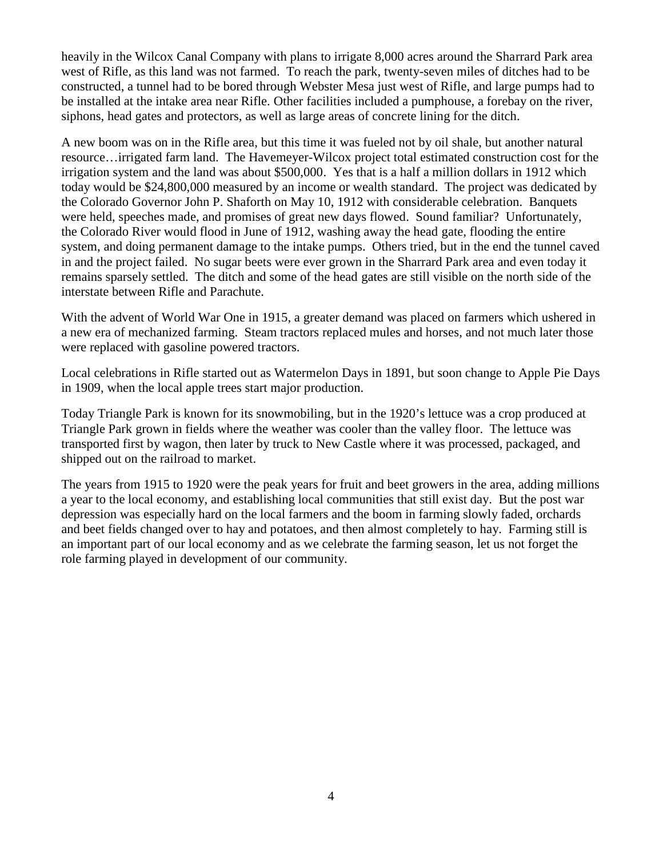heavily in the Wilcox Canal Company with plans to irrigate 8,000 acres around the Sharrard Park area west of Rifle, as this land was not farmed. To reach the park, twenty-seven miles of ditches had to be constructed, a tunnel had to be bored through Webster Mesa just west of Rifle, and large pumps had to be installed at the intake area near Rifle. Other facilities included a pumphouse, a forebay on the river, siphons, head gates and protectors, as well as large areas of concrete lining for the ditch.

A new boom was on in the Rifle area, but this time it was fueled not by oil shale, but another natural resource…irrigated farm land. The Havemeyer-Wilcox project total estimated construction cost for the irrigation system and the land was about \$500,000. Yes that is a half a million dollars in 1912 which today would be \$24,800,000 measured by an income or wealth standard. The project was dedicated by the Colorado Governor John P. Shaforth on May 10, 1912 with considerable celebration. Banquets were held, speeches made, and promises of great new days flowed. Sound familiar? Unfortunately, the Colorado River would flood in June of 1912, washing away the head gate, flooding the entire system, and doing permanent damage to the intake pumps. Others tried, but in the end the tunnel caved in and the project failed. No sugar beets were ever grown in the Sharrard Park area and even today it remains sparsely settled. The ditch and some of the head gates are still visible on the north side of the interstate between Rifle and Parachute.

With the advent of World War One in 1915, a greater demand was placed on farmers which ushered in a new era of mechanized farming. Steam tractors replaced mules and horses, and not much later those were replaced with gasoline powered tractors.

Local celebrations in Rifle started out as Watermelon Days in 1891, but soon change to Apple Pie Days in 1909, when the local apple trees start major production.

Today Triangle Park is known for its snowmobiling, but in the 1920's lettuce was a crop produced at Triangle Park grown in fields where the weather was cooler than the valley floor. The lettuce was transported first by wagon, then later by truck to New Castle where it was processed, packaged, and shipped out on the railroad to market.

The years from 1915 to 1920 were the peak years for fruit and beet growers in the area, adding millions a year to the local economy, and establishing local communities that still exist day. But the post war depression was especially hard on the local farmers and the boom in farming slowly faded, orchards and beet fields changed over to hay and potatoes, and then almost completely to hay. Farming still is an important part of our local economy and as we celebrate the farming season, let us not forget the role farming played in development of our community.